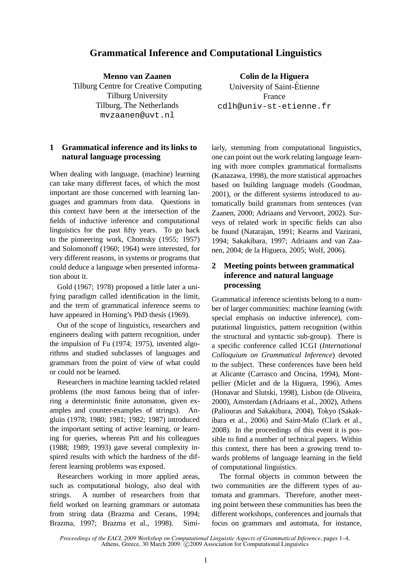# **Grammatical Inference and Computational Linguistics**

**Menno van Zaanen** Tilburg Centre for Creative Computing Tilburg University Tilburg, The Netherlands mvzaanen@uvt.nl

## **1 Grammatical inference and its links to natural language processing**

When dealing with language, (machine) learning can take many different faces, of which the most important are those concerned with learning languages and grammars from data. Questions in this context have been at the intersection of the fields of inductive inference and computational linguistics for the past fifty years. To go back to the pioneering work, Chomsky (1955; 1957) and Solomonoff (1960; 1964) were interested, for very different reasons, in systems or programs that could deduce a language when presented information about it.

Gold (1967; 1978) proposed a little later a unifying paradigm called identification in the limit, and the term of grammatical inference seems to have appeared in Horning's PhD thesis (1969).

Out of the scope of linguistics, researchers and engineers dealing with pattern recognition, under the impulsion of Fu (1974; 1975), invented algorithms and studied subclasses of languages and grammars from the point of view of what could or could not be learned.

Researchers in machine learning tackled related problems (the most famous being that of inferring a deterministic finite automaton, given examples and counter-examples of strings). Angluin (1978; 1980; 1981; 1982; 1987) introduced the important setting of active learning, or learning for queries, whereas Pitt and his colleagues (1988; 1989; 1993) gave several complexity inspired results with which the hardness of the different learning problems was exposed.

Researchers working in more applied areas, such as computational biology, also deal with strings. A number of researchers from that field worked on learning grammars or automata from string data (Brazma and Cerans, 1994; Brazma, 1997; Brazma et al., 1998). Simi-

**Colin de la Higuera** University of Saint-Etienne ´ France cdlh@univ-st-etienne.fr

larly, stemming from computational linguistics, one can point out the work relating language learning with more complex grammatical formalisms (Kanazawa, 1998), the more statistical approaches based on building language models (Goodman, 2001), or the different systems introduced to automatically build grammars from sentences (van Zaanen, 2000; Adriaans and Vervoort, 2002). Surveys of related work in specific fields can also be found (Natarajan, 1991; Kearns and Vazirani, 1994; Sakakibara, 1997; Adriaans and van Zaanen, 2004; de la Higuera, 2005; Wolf, 2006).

## **2 Meeting points between grammatical inference and natural language processing**

Grammatical inference scientists belong to a number of larger communities: machine learning (with special emphasis on inductive inference), computational linguistics, pattern recognition (within the structural and syntactic sub-group). There is a specific conference called ICGI (*International Colloquium on Grammatical Inference*) devoted to the subject. These conferences have been held at Alicante (Carrasco and Oncina, 1994), Montpellier (Miclet and de la Higuera, 1996), Ames (Honavar and Slutski, 1998), Lisbon (de Oliveira, 2000), Amsterdam (Adriaans et al., 2002), Athens (Paliouras and Sakakibara, 2004), Tokyo (Sakakibara et al., 2006) and Saint-Malo (Clark et al., 2008). In the proceedings of this event it is possible to find a number of technical papers. Within this context, there has been a growing trend towards problems of language learning in the field of computational linguistics.

The formal objects in common between the two communities are the different types of automata and grammars. Therefore, another meeting point between these communities has been the different workshops, conferences and journals that focus on grammars and automata, for instance,

*Proceedings of the EACL 2009 Workshop on Computational Linguistic Aspects of Grammatical Inference*, pages 1–4, Athens, Greece, 30 March 2009. © 2009 Association for Computational Linguistics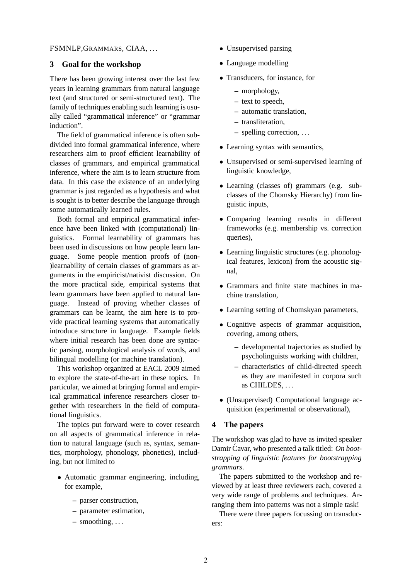#### FSMNLP,GRAMMARS, CIAA, . . .

### **3 Goal for the workshop**

There has been growing interest over the last few years in learning grammars from natural language text (and structured or semi-structured text). The family of techniques enabling such learning is usually called "grammatical inference" or "grammar induction".

The field of grammatical inference is often subdivided into formal grammatical inference, where researchers aim to proof efficient learnability of classes of grammars, and empirical grammatical inference, where the aim is to learn structure from data. In this case the existence of an underlying grammar is just regarded as a hypothesis and what is sought is to better describe the language through some automatically learned rules.

Both formal and empirical grammatical inference have been linked with (computational) linguistics. Formal learnability of grammars has been used in discussions on how people learn language. Some people mention proofs of (non- )learnability of certain classes of grammars as arguments in the empiricist/nativist discussion. On the more practical side, empirical systems that learn grammars have been applied to natural language. Instead of proving whether classes of grammars can be learnt, the aim here is to provide practical learning systems that automatically introduce structure in language. Example fields where initial research has been done are syntactic parsing, morphological analysis of words, and bilingual modelling (or machine translation).

This workshop organized at EACL 2009 aimed to explore the state-of-the-art in these topics. In particular, we aimed at bringing formal and empirical grammatical inference researchers closer together with researchers in the field of computational linguistics.

The topics put forward were to cover research on all aspects of grammatical inference in relation to natural language (such as, syntax, semantics, morphology, phonology, phonetics), including, but not limited to

- Automatic grammar engineering, including, for example,
	- **–** parser construction,
	- **–** parameter estimation,
	- **–** smoothing, . . .
- Unsupervised parsing
- Language modelling
- Transducers, for instance, for
	- **–** morphology,
	- **–** text to speech,
	- **–** automatic translation,
	- **–** transliteration,
	- **–** spelling correction, . . .
- Learning syntax with semantics,
- Unsupervised or semi-supervised learning of linguistic knowledge,
- Learning (classes of) grammars (e.g. subclasses of the Chomsky Hierarchy) from linguistic inputs,
- Comparing learning results in different frameworks (e.g. membership vs. correction queries),
- Learning linguistic structures (e.g. phonological features, lexicon) from the acoustic signal,
- Grammars and finite state machines in machine translation,
- Learning setting of Chomskyan parameters,
- Cognitive aspects of grammar acquisition, covering, among others,
	- **–** developmental trajectories as studied by psycholinguists working with children,
	- **–** characteristics of child-directed speech as they are manifested in corpora such as CHILDES, . . .
- (Unsupervised) Computational language acquisition (experimental or observational),

#### **4 The papers**

The workshop was glad to have as invited speaker Damir Ćavar, who presented a talk titled: On boot*strapping of linguistic features for bootstrapping grammars*.

The papers submitted to the workshop and reviewed by at least three reviewers each, covered a very wide range of problems and techniques. Arranging them into patterns was not a simple task!

There were three papers focussing on transducers: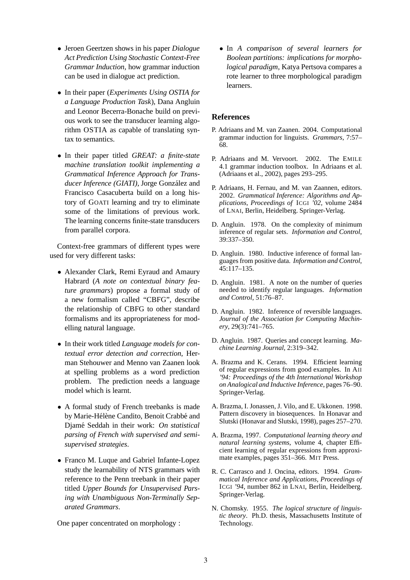- Jeroen Geertzen shows in his paper *Dialogue Act Prediction Using Stochastic Context-Free Grammar Induction*, how grammar induction can be used in dialogue act prediction.
- In their paper (*Experiments Using OSTIA for a Language Production Task*), Dana Angluin and Leonor Becerra-Bonache build on previous work to see the transducer learning algorithm OSTIA as capable of translating syntax to semantics.
- In their paper titled *GREAT: a finite-state machine translation toolkit implementing a Grammatical Inference Approach for Trans*ducer Inference (GIATI), Jorge González and Francisco Casacuberta build on a long history of GOATI learning and try to eliminate some of the limitations of previous work. The learning concerns finite-state transducers from parallel corpora.

Context-free grammars of different types were used for very different tasks:

- Alexander Clark, Remi Eyraud and Amaury Habrard (*A note on contextual binary feature grammars*) propose a formal study of a new formalism called "CBFG", describe the relationship of CBFG to other standard formalisms and its appropriateness for modelling natural language.
- In their work titled *Language models for contextual error detection and correction*, Herman Stehouwer and Menno van Zaanen look at spelling problems as a word prediction problem. The prediction needs a language model which is learnt.
- A formal study of French treebanks is made by Marie-Hélène Candito, Benoit Crabbé and Djam´e Seddah in their work: *On statistical parsing of French with supervised and semisupervised strategies*.
- Franco M. Luque and Gabriel Infante-Lopez study the learnability of NTS grammars with reference to the Penn treebank in their paper titled *Upper Bounds for Unsupervised Parsing with Unambiguous Non-Terminally Separated Grammars*.

One paper concentrated on morphology :

• In *A comparison of several learners for Boolean partitions: implications for morphological paradigm*, Katya Pertsova compares a rote learner to three morphological paradigm learners.

#### **References**

- P. Adriaans and M. van Zaanen. 2004. Computational grammar induction for linguists. *Grammars*, 7:57– 68.
- P. Adriaans and M. Vervoort. 2002. The EMILE 4.1 grammar induction toolbox. In Adriaans et al. (Adriaans et al., 2002), pages 293–295.
- P. Adriaans, H. Fernau, and M. van Zaannen, editors. 2002. *Grammatical Inference: Algorithms and Applications, Proceedings of* ICGI *'02*, volume 2484 of LNAI, Berlin, Heidelberg. Springer-Verlag.
- D. Angluin. 1978. On the complexity of minimum inference of regular sets. *Information and Control*, 39:337–350.
- D. Angluin. 1980. Inductive inference of formal languages from positive data. *Information and Control*, 45:117–135.
- D. Angluin. 1981. A note on the number of queries needed to identify regular languages. *Information and Control*, 51:76–87.
- D. Angluin. 1982. Inference of reversible languages. *Journal of the Association for Computing Machinery*, 29(3):741–765.
- D. Angluin. 1987. Queries and concept learning. *Machine Learning Journal*, 2:319–342.
- A. Brazma and K. Cerans. 1994. Efficient learning of regular expressions from good examples. In AII *'94: Proceedings of the 4th International Workshop on Analogical and Inductive Inference*, pages 76–90. Springer-Verlag.
- A. Brazma, I. Jonassen, J. Vilo, and E. Ukkonen. 1998. Pattern discovery in biosequences. In Honavar and Slutski (Honavar and Slutski, 1998), pages 257–270.
- A. Brazma, 1997. *Computational learning theory and natural learning systems*, volume 4, chapter Efficient learning of regular expressions from approximate examples, pages 351–366. MIT Press.
- R. C. Carrasco and J. Oncina, editors. 1994. *Grammatical Inference and Applications, Proceedings of* ICGI *'94*, number 862 in LNAI, Berlin, Heidelberg. Springer-Verlag.
- N. Chomsky. 1955. *The logical structure of linguistic theory*. Ph.D. thesis, Massachusetts Institute of Technology.